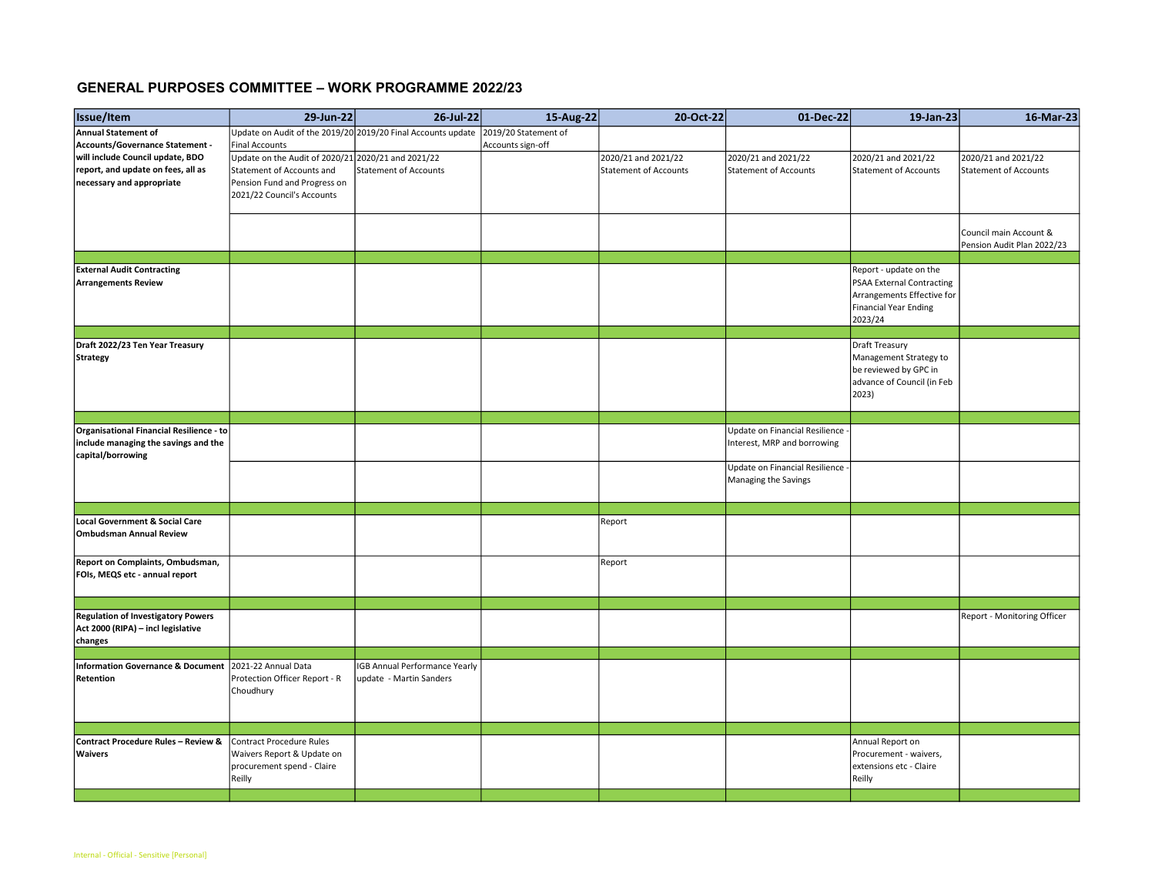## GENERAL PURPOSES COMMITTEE – WORK PROGRAMME 2022/23

| Issue/Item                                     | 29-Jun-22                                                    | 26-Jul-22                            | 15-Aug-22            | 20-Oct-22                    | 01-Dec-22                        | 19-Jan-23                    | 16-Mar-23                    |
|------------------------------------------------|--------------------------------------------------------------|--------------------------------------|----------------------|------------------------------|----------------------------------|------------------------------|------------------------------|
| Annual Statement of                            | Update on Audit of the 2019/20 2019/20 Final Accounts update |                                      | 2019/20 Statement of |                              |                                  |                              |                              |
| Accounts/Governance Statement -                | <b>Final Accounts</b>                                        |                                      | Accounts sign-off    |                              |                                  |                              |                              |
| will include Council update, BDO               | Update on the Audit of 2020/21 2020/21 and 2021/22           |                                      |                      | 2020/21 and 2021/22          | 2020/21 and 2021/22              | 2020/21 and 2021/22          | 2020/21 and 2021/22          |
| report, and update on fees, all as             | Statement of Accounts and                                    | <b>Statement of Accounts</b>         |                      | <b>Statement of Accounts</b> | Statement of Accounts            | <b>Statement of Accounts</b> | <b>Statement of Accounts</b> |
| necessary and appropriate                      | Pension Fund and Progress on                                 |                                      |                      |                              |                                  |                              |                              |
|                                                | 2021/22 Council's Accounts                                   |                                      |                      |                              |                                  |                              |                              |
|                                                |                                                              |                                      |                      |                              |                                  |                              |                              |
|                                                |                                                              |                                      |                      |                              |                                  |                              |                              |
|                                                |                                                              |                                      |                      |                              |                                  |                              | Council main Account &       |
|                                                |                                                              |                                      |                      |                              |                                  |                              | Pension Audit Plan 2022/23   |
|                                                |                                                              |                                      |                      |                              |                                  |                              |                              |
| <b>External Audit Contracting</b>              |                                                              |                                      |                      |                              |                                  | Report - update on the       |                              |
| <b>Arrangements Review</b>                     |                                                              |                                      |                      |                              |                                  | PSAA External Contracting    |                              |
|                                                |                                                              |                                      |                      |                              |                                  | Arrangements Effective for   |                              |
|                                                |                                                              |                                      |                      |                              |                                  | <b>Financial Year Ending</b> |                              |
|                                                |                                                              |                                      |                      |                              |                                  | 2023/24                      |                              |
|                                                |                                                              |                                      |                      |                              |                                  |                              |                              |
| Draft 2022/23 Ten Year Treasury                |                                                              |                                      |                      |                              |                                  | Draft Treasury               |                              |
| <b>Strategy</b>                                |                                                              |                                      |                      |                              |                                  | Management Strategy to       |                              |
|                                                |                                                              |                                      |                      |                              |                                  |                              |                              |
|                                                |                                                              |                                      |                      |                              |                                  | be reviewed by GPC in        |                              |
|                                                |                                                              |                                      |                      |                              |                                  | advance of Council (in Feb   |                              |
|                                                |                                                              |                                      |                      |                              |                                  | 2023)                        |                              |
|                                                |                                                              |                                      |                      |                              |                                  |                              |                              |
| Organisational Financial Resilience - to       |                                                              |                                      |                      |                              | Update on Financial Resilience - |                              |                              |
| include managing the savings and the           |                                                              |                                      |                      |                              | Interest, MRP and borrowing      |                              |                              |
| capital/borrowing                              |                                                              |                                      |                      |                              |                                  |                              |                              |
|                                                |                                                              |                                      |                      |                              | Update on Financial Resilience - |                              |                              |
|                                                |                                                              |                                      |                      |                              | Managing the Savings             |                              |                              |
|                                                |                                                              |                                      |                      |                              |                                  |                              |                              |
|                                                |                                                              |                                      |                      |                              |                                  |                              |                              |
|                                                |                                                              |                                      |                      |                              |                                  |                              |                              |
| Local Government & Social Care                 |                                                              |                                      |                      | Report                       |                                  |                              |                              |
| <b>Ombudsman Annual Review</b>                 |                                                              |                                      |                      |                              |                                  |                              |                              |
|                                                |                                                              |                                      |                      |                              |                                  |                              |                              |
| Report on Complaints, Ombudsman,               |                                                              |                                      |                      | Report                       |                                  |                              |                              |
| FOIs, MEQS etc - annual report                 |                                                              |                                      |                      |                              |                                  |                              |                              |
|                                                |                                                              |                                      |                      |                              |                                  |                              |                              |
|                                                |                                                              |                                      |                      |                              |                                  |                              |                              |
| <b>Regulation of Investigatory Powers</b>      |                                                              |                                      |                      |                              |                                  |                              | Report - Monitoring Officer  |
| Act 2000 (RIPA) - incl legislative             |                                                              |                                      |                      |                              |                                  |                              |                              |
| changes                                        |                                                              |                                      |                      |                              |                                  |                              |                              |
|                                                |                                                              |                                      |                      |                              |                                  |                              |                              |
| <b>Information Governance &amp; Document</b>   | 2021-22 Annual Data                                          | <b>IGB Annual Performance Yearly</b> |                      |                              |                                  |                              |                              |
| Retention                                      | Protection Officer Report - R                                | update - Martin Sanders              |                      |                              |                                  |                              |                              |
|                                                | Choudhury                                                    |                                      |                      |                              |                                  |                              |                              |
|                                                |                                                              |                                      |                      |                              |                                  |                              |                              |
|                                                |                                                              |                                      |                      |                              |                                  |                              |                              |
|                                                |                                                              |                                      |                      |                              |                                  |                              |                              |
| <b>Contract Procedure Rules - Review &amp;</b> | Contract Procedure Rules                                     |                                      |                      |                              |                                  | Annual Report on             |                              |
| <b>Waivers</b>                                 | Waivers Report & Update on                                   |                                      |                      |                              |                                  | Procurement - waivers,       |                              |
|                                                |                                                              |                                      |                      |                              |                                  |                              |                              |
|                                                | procurement spend - Claire                                   |                                      |                      |                              |                                  | extensions etc - Claire      |                              |
|                                                | Reilly                                                       |                                      |                      |                              |                                  | Reilly                       |                              |
|                                                |                                                              |                                      |                      |                              |                                  |                              |                              |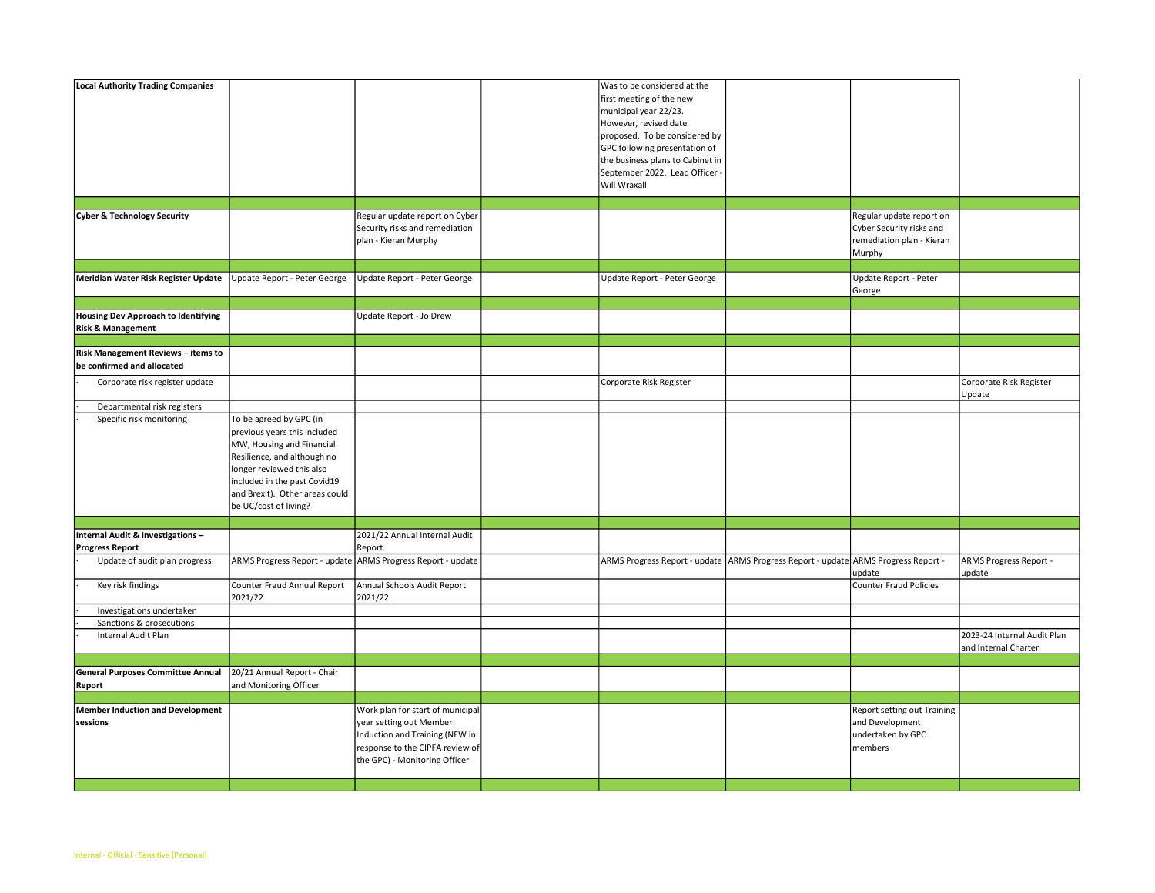| <b>Local Authority Trading Companies</b>                                   |                                                                                                                                                                                                                                             |                                                                                                                                                                   | Was to be considered at the<br>first meeting of the new<br>municipal year 22/23.<br>However, revised date<br>proposed. To be considered by<br>GPC following presentation of<br>the business plans to Cabinet in<br>September 2022. Lead Officer<br>Will Wraxall |                                                                                             |                                                     |
|----------------------------------------------------------------------------|---------------------------------------------------------------------------------------------------------------------------------------------------------------------------------------------------------------------------------------------|-------------------------------------------------------------------------------------------------------------------------------------------------------------------|-----------------------------------------------------------------------------------------------------------------------------------------------------------------------------------------------------------------------------------------------------------------|---------------------------------------------------------------------------------------------|-----------------------------------------------------|
|                                                                            |                                                                                                                                                                                                                                             |                                                                                                                                                                   |                                                                                                                                                                                                                                                                 |                                                                                             |                                                     |
| <b>Cyber &amp; Technology Security</b>                                     |                                                                                                                                                                                                                                             | Regular update report on Cyber<br>Security risks and remediation<br>plan - Kieran Murphy                                                                          |                                                                                                                                                                                                                                                                 | Regular update report on<br>Cyber Security risks and<br>remediation plan - Kieran<br>Murphy |                                                     |
| Meridian Water Risk Register Update                                        | Update Report - Peter George                                                                                                                                                                                                                | Update Report - Peter George                                                                                                                                      | Update Report - Peter George                                                                                                                                                                                                                                    | Update Report - Peter                                                                       |                                                     |
|                                                                            |                                                                                                                                                                                                                                             |                                                                                                                                                                   |                                                                                                                                                                                                                                                                 | George                                                                                      |                                                     |
|                                                                            |                                                                                                                                                                                                                                             |                                                                                                                                                                   |                                                                                                                                                                                                                                                                 |                                                                                             |                                                     |
| <b>Housing Dev Approach to Identifying</b><br><b>Risk &amp; Management</b> |                                                                                                                                                                                                                                             | Update Report - Jo Drew                                                                                                                                           |                                                                                                                                                                                                                                                                 |                                                                                             |                                                     |
|                                                                            |                                                                                                                                                                                                                                             |                                                                                                                                                                   |                                                                                                                                                                                                                                                                 |                                                                                             |                                                     |
| Risk Management Reviews - items to<br>be confirmed and allocated           |                                                                                                                                                                                                                                             |                                                                                                                                                                   |                                                                                                                                                                                                                                                                 |                                                                                             |                                                     |
| Corporate risk register update                                             |                                                                                                                                                                                                                                             |                                                                                                                                                                   | Corporate Risk Register                                                                                                                                                                                                                                         |                                                                                             | Corporate Risk Register<br>Update                   |
| Departmental risk registers                                                |                                                                                                                                                                                                                                             |                                                                                                                                                                   |                                                                                                                                                                                                                                                                 |                                                                                             |                                                     |
| Specific risk monitoring                                                   | To be agreed by GPC (in<br>previous years this included<br>MW, Housing and Financial<br>Resilience, and although no<br>longer reviewed this also<br>included in the past Covid19<br>and Brexit). Other areas could<br>be UC/cost of living? |                                                                                                                                                                   |                                                                                                                                                                                                                                                                 |                                                                                             |                                                     |
|                                                                            |                                                                                                                                                                                                                                             |                                                                                                                                                                   |                                                                                                                                                                                                                                                                 |                                                                                             |                                                     |
| Internal Audit & Investigations -<br><b>Progress Report</b>                |                                                                                                                                                                                                                                             | 2021/22 Annual Internal Audit<br>Report                                                                                                                           |                                                                                                                                                                                                                                                                 |                                                                                             |                                                     |
| Update of audit plan progress                                              |                                                                                                                                                                                                                                             | ARMS Progress Report - update ARMS Progress Report - update                                                                                                       | ARMS Progress Report - update ARMS Progress Report - update ARMS Progress Report -                                                                                                                                                                              | update                                                                                      | ARMS Progress Report -<br>update                    |
| Key risk findings                                                          | Counter Fraud Annual Report<br>2021/22                                                                                                                                                                                                      | Annual Schools Audit Report<br>2021/22                                                                                                                            |                                                                                                                                                                                                                                                                 | <b>Counter Fraud Policies</b>                                                               |                                                     |
| Investigations undertaken                                                  |                                                                                                                                                                                                                                             |                                                                                                                                                                   |                                                                                                                                                                                                                                                                 |                                                                                             |                                                     |
| Sanctions & prosecutions                                                   |                                                                                                                                                                                                                                             |                                                                                                                                                                   |                                                                                                                                                                                                                                                                 |                                                                                             |                                                     |
| Internal Audit Plan                                                        |                                                                                                                                                                                                                                             |                                                                                                                                                                   |                                                                                                                                                                                                                                                                 |                                                                                             | 2023-24 Internal Audit Plan<br>and Internal Charter |
|                                                                            |                                                                                                                                                                                                                                             |                                                                                                                                                                   |                                                                                                                                                                                                                                                                 |                                                                                             |                                                     |
| <b>General Purposes Committee Annual</b><br>Report                         | 20/21 Annual Report - Chair<br>and Monitoring Officer                                                                                                                                                                                       |                                                                                                                                                                   |                                                                                                                                                                                                                                                                 |                                                                                             |                                                     |
|                                                                            |                                                                                                                                                                                                                                             |                                                                                                                                                                   |                                                                                                                                                                                                                                                                 |                                                                                             |                                                     |
| <b>Member Induction and Development</b><br>sessions                        |                                                                                                                                                                                                                                             | Work plan for start of municipal<br>year setting out Member<br>Induction and Training (NEW in<br>response to the CIPFA review of<br>the GPC) - Monitoring Officer |                                                                                                                                                                                                                                                                 | Report setting out Training<br>and Development<br>undertaken by GPC<br>members              |                                                     |